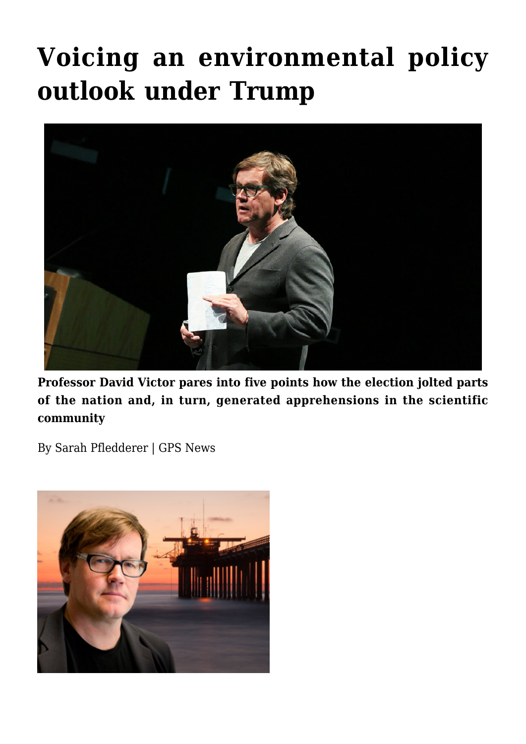# **[Voicing an environmental policy](https://gpsnews.ucsd.edu/voicing-an-environmental-policy-outlook-under-trump/) [outlook under Trump](https://gpsnews.ucsd.edu/voicing-an-environmental-policy-outlook-under-trump/)**



**Professor David Victor pares into five points how the election jolted parts of the nation and, in turn, generated apprehensions in the scientific community**

By Sarah Pfledderer | GPS News

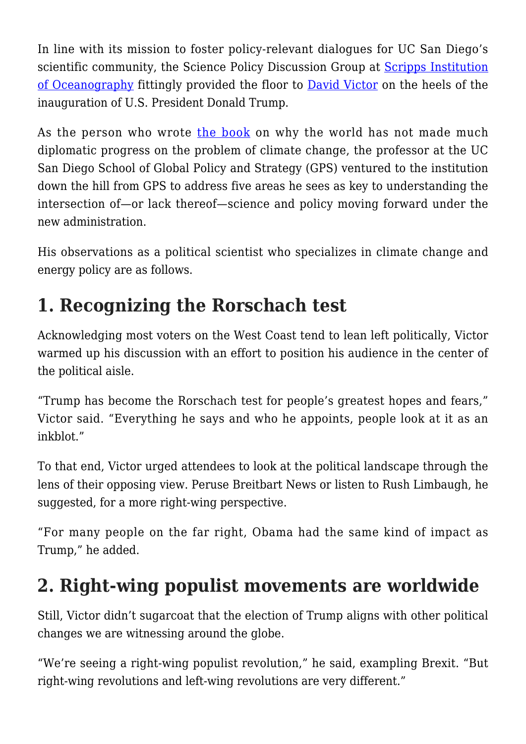In line with its mission to foster policy-relevant dialogues for UC San Diego's scientific community, the Science Policy Discussion Group at [Scripps Institution](https://scripps.ucsd.edu/) [of Oceanography](https://scripps.ucsd.edu/) fittingly provided the floor to [David Victor](https://gps.ucsd.edu/faculty-directory/david-victor.html) on the heels of the inauguration of U.S. President Donald Trump.

As the person who wrote [the book](http://www.cambridge.org/us/academic/subjects/politics-international-relations/international-relations-and-international-organisations/global-warming-gridlock-creating-more-effective-strategies-protecting-planet) on why the world has not made much diplomatic progress on the problem of climate change, the professor at the UC San Diego School of Global Policy and Strategy (GPS) ventured to the institution down the hill from GPS to address five areas he sees as key to understanding the intersection of—or lack thereof—science and policy moving forward under the new administration.

His observations as a political scientist who specializes in climate change and energy policy are as follows.

### **1. Recognizing the Rorschach test**

Acknowledging most voters on the West Coast tend to lean left politically, Victor warmed up his discussion with an effort to position his audience in the center of the political aisle.

"Trump has become the Rorschach test for people's greatest hopes and fears," Victor said. "Everything he says and who he appoints, people look at it as an inkblot."

To that end, Victor urged attendees to look at the political landscape through the lens of their opposing view. Peruse Breitbart News or listen to Rush Limbaugh, he suggested, for a more right-wing perspective.

"For many people on the far right, Obama had the same kind of impact as Trump," he added.

# **2. Right-wing populist movements are worldwide**

Still, Victor didn't sugarcoat that the election of Trump aligns with other political changes we are witnessing around the globe.

"We're seeing a right-wing populist revolution," he said, exampling Brexit. "But right-wing revolutions and left-wing revolutions are very different."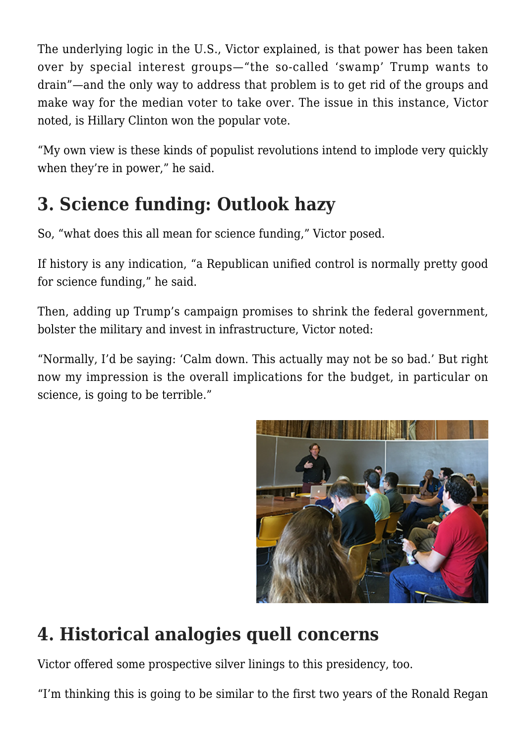The underlying logic in the U.S., Victor explained, is that power has been taken over by special interest groups—"the so-called 'swamp' Trump wants to drain"—and the only way to address that problem is to get rid of the groups and make way for the median voter to take over. The issue in this instance, Victor noted, is Hillary Clinton won the popular vote.

"My own view is these kinds of populist revolutions intend to implode very quickly when they're in power," he said.

# **3. Science funding: Outlook hazy**

So, "what does this all mean for science funding," Victor posed.

If history is any indication, "a Republican unified control is normally pretty good for science funding," he said.

Then, adding up Trump's campaign promises to shrink the federal government, bolster the military and invest in infrastructure, Victor noted:

"Normally, I'd be saying: 'Calm down. This actually may not be so bad.' But right now my impression is the overall implications for the budget, in particular on science, is going to be terrible."



# **4. Historical analogies quell concerns**

Victor offered some prospective silver linings to this presidency, too.

"I'm thinking this is going to be similar to the first two years of the Ronald Regan